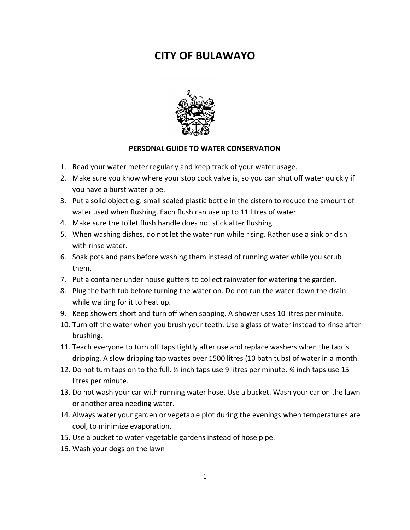## **CITY OF BULAWAYO**



## **PERSONAL GUIDE TO WATER CONSERVATION**

- 1. Read your water meter regularly and keep track of your water usage.
- 2. Make sure you know where your stop cock valve is, so you can shut off water quickly if you have a burst water pipe.
- 3. Put a solid object e.g. small sealed plastic bottle in the cistern to reduce the amount of water used when flushing. Each flush can use up to 11 litres of water.
- 4. Make sure the toilet flush handle does not stick after flushing
- 5. When washing dishes, do not let the water run while rising. Rather use a sink or dish with rinse water.
- 6. Soak pots and pans before washing them instead of running water while you scrub them.
- 7. Put a container under house gutters to collect rainwater for watering the garden.
- 8. Plug the bath tub before turning the water on. Do not run the water down the drain while waiting for it to heat up.
- 9. Keep showers short and turn off when soaping. A shower uses 10 litres per minute.
- 10. Turn off the water when you brush your teeth. Use a glass of water instead to rinse after brushing.
- 11. Teach everyone to turn off taps tightly after use and replace washers when the tap is dripping. A slow dripping tap wastes over 1500 litres (10 bath tubs) of water in a month.
- 12. Do not turn taps on to the full. ½ inch taps use 9 litres per minute. ¾ inch taps use 15 litres per minute.
- 13. Do not wash your car with running water hose. Use a bucket. Wash your car on the lawn or another area needing water.
- 14. Always water your garden or vegetable plot during the evenings when temperatures are cool, to minimize evaporation.
- 15. Use a bucket to water vegetable gardens instead of hose pipe.
- 16. Wash your dogs on the lawn